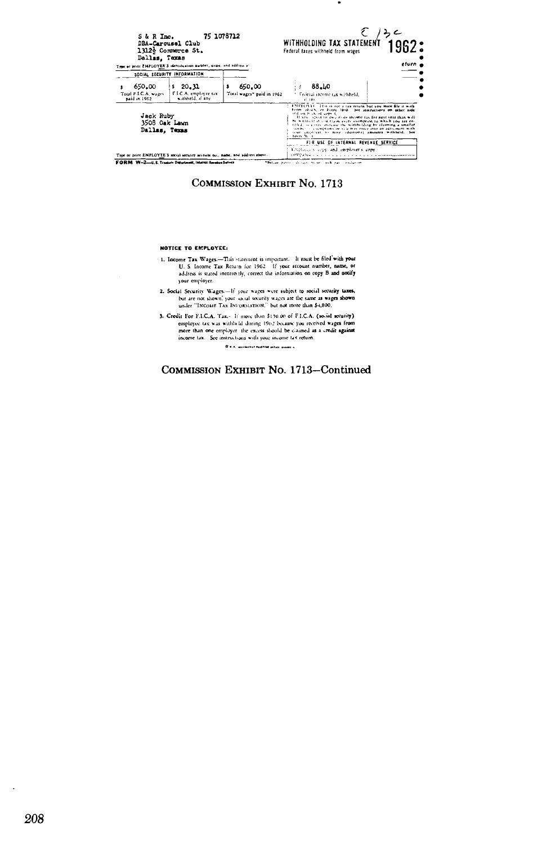| S&R Inc.<br>Dallas, Taxas                          | 75 1078712<br>DBA-Carousel Club<br>1312} Commerce St.<br>True or print ENPLOYER'S identification number, name, and address at |                                     | WITHHOLDING TAX STATEMENT<br>Federal faxes withheid from wages                                                                                                                                                                                                                                                                                                                                                                                                                                               | eturn i |
|----------------------------------------------------|-------------------------------------------------------------------------------------------------------------------------------|-------------------------------------|--------------------------------------------------------------------------------------------------------------------------------------------------------------------------------------------------------------------------------------------------------------------------------------------------------------------------------------------------------------------------------------------------------------------------------------------------------------------------------------------------------------|---------|
|                                                    | SOCIAL SECURITY INFORMATION                                                                                                   |                                     |                                                                                                                                                                                                                                                                                                                                                                                                                                                                                                              |         |
| 650.00<br>Total F.I.C.A. wages<br>paid in 1962     | 320.32<br>F.L.C.A. employee tax<br>withheld, if any                                                                           | 650.00<br>Total wages" paid in 1962 | <b>88.LO</b><br>Federal income tax withheld.<br>10.4755                                                                                                                                                                                                                                                                                                                                                                                                                                                      |         |
| <b>Jack Ruby</b><br>3508 Oak Lawn<br>Dallas, Texas |                                                                                                                               |                                     | EMPTON 11. This is not a cas return but you must file it with<br>Form (0103) or Form 1940. See instructions on other side<br>ind on book of copy to<br>If you is pect to owe more income tax for next year than will<br>be withheld if you claim every exemption to which you are en-<br>titled, see may looke see the withholding by claiming a smaller<br>month, the assemblances of sale may refer into an agreement with<br>your employer to have educational amounts withheld. See<br><b>ENDS W. L.</b> |         |
|                                                    | True or print EMPLOYEE'S social security account not, name, and address above.                                                |                                     | FUR USE OF INTERNAL REVENUE SERVICE<br>Employees contrared employer's copy<br>compared a                                                                                                                                                                                                                                                                                                                                                                                                                     |         |
|                                                    | FORM W-2-U.S. Tragery Department, Internal Revenue Service                                                                    |                                     | "Before pasters dynamic types, and past residence                                                                                                                                                                                                                                                                                                                                                                                                                                                            |         |

 $\bullet$ 

**COMMISSION EXHIBIT NO. 1713** 

## NOTICE TO EMPLOYEE:

- 1. Income Tax Wages.-This statement is important. It must be filed with your<br>U. S. Income Tax Return for 1962. If your account number, name, or<br>address is stated incorrectly, correct the information on copy B and notify your employer.
- 2. Social Security Wages-If your wages were subject to social security taxes,<br>but are not shown, your social security wages are the same as wages shown<br>under "INCOME TAX INFORMATION," but not more than \$4,800.
- 3. Credit For F.I.C.A. Tax.- If more than 5150.00 of F.I.C.A. (as in security) employer (as was withheld during 1962 because you received wages from more than one employer the excess should be claimed as a credit against

.<br>R.s.s. automorfologiame principales s

# COMMISSION EXHIBIT No. 1713-Continued

 $\ddot{\phantom{a}}$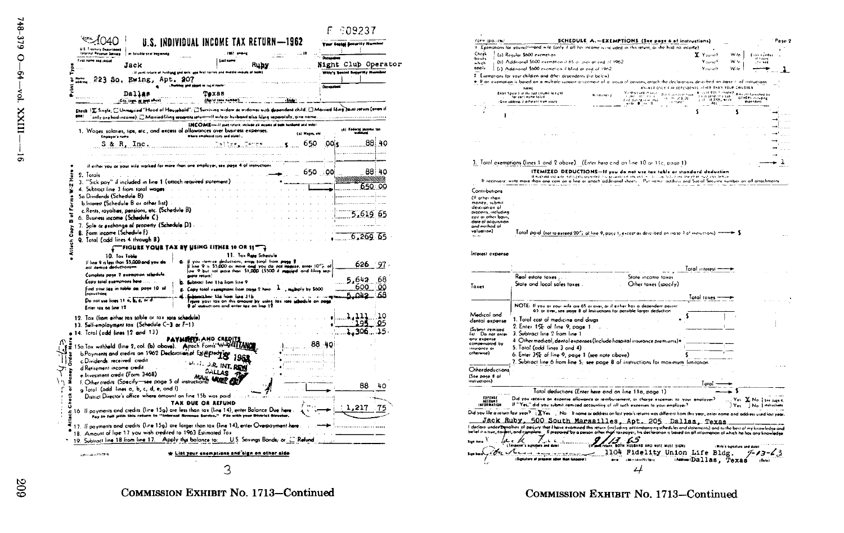| <b>First name end cedal</b><br>Jack                                                                                                                                                                                                                                  | Laster                                                                                                                                                    | Rubs                                         |                    | <b>Greenway</b><br>Night Club Operator |        |
|----------------------------------------------------------------------------------------------------------------------------------------------------------------------------------------------------------------------------------------------------------------------|-----------------------------------------------------------------------------------------------------------------------------------------------------------|----------------------------------------------|--------------------|----------------------------------------|--------|
| 223 So. Ewing, Apt. 207<br>addieus                                                                                                                                                                                                                                   | It youll return of husband and mile, and heat narrow and moddle                                                                                           |                                              |                    | Wife's Social Security Humbor          |        |
|                                                                                                                                                                                                                                                                      | as sugai reute                                                                                                                                            |                                              |                    | <b>Derwark</b>                         |        |
| Dallas<br>.C.ty. Lage. of post affice)                                                                                                                                                                                                                               | Texas<br>(Pestal zone numb                                                                                                                                |                                              |                    |                                        |        |
| Check   工 Single: □ Unmassing'" Head of Household"; □ Surviving widow as widower with dependent child, □ Married filing Joint seturn (even if<br>pne:<br>only one had income); [[Married filing separate return—If wife or husband also filing separately, give name |                                                                                                                                                           |                                              |                    |                                        |        |
|                                                                                                                                                                                                                                                                      | INCOME-If your return, include all income of both husband and wile!                                                                                       |                                              |                    |                                        |        |
| 1. Wages, salaties, tips, etc., and excess of pillowances over business expenses.<br>Employer's name                                                                                                                                                                 | Where elsewed scale and state).                                                                                                                           |                                              | (a) Wayne ale      |                                        |        |
| S & R, Inc.                                                                                                                                                                                                                                                          | -Dellar_                                                                                                                                                  | . <b>. 5</b>                                 | 650                | :00                                    | 88: 40 |
|                                                                                                                                                                                                                                                                      |                                                                                                                                                           |                                              |                    |                                        |        |
| il either you or your<br>wile worked for more than one employe                                                                                                                                                                                                       |                                                                                                                                                           |                                              |                    |                                        |        |
| 2. Totals                                                                                                                                                                                                                                                            |                                                                                                                                                           |                                              | 650 00             |                                        | 88:40  |
| 3. "Sick pay" if included in line 1 (attach required statement)                                                                                                                                                                                                      |                                                                                                                                                           |                                              |                    |                                        |        |
| 4. Subtract line 3 from tatal wages                                                                                                                                                                                                                                  |                                                                                                                                                           |                                              |                    |                                        | 650.   |
| Sa Dividends (Schedule B)                                                                                                                                                                                                                                            |                                                                                                                                                           |                                              |                    |                                        |        |
| b.Interest (Schedule B or other list).                                                                                                                                                                                                                               |                                                                                                                                                           |                                              |                    |                                        |        |
| c. Rents, rayalties, pensions, etc. (Schedule B)<br>6. Business income (Schedule C)                                                                                                                                                                                  |                                                                                                                                                           |                                              |                    | 5,619 65                               |        |
| 7. Sale or pechange of property (Schedule D) .                                                                                                                                                                                                                       |                                                                                                                                                           |                                              |                    |                                        |        |
| 8. Form income (Schodule F):<br>9. Total (add lines 4 through B)                                                                                                                                                                                                     |                                                                                                                                                           |                                              |                    | b.269 65                               |        |
|                                                                                                                                                                                                                                                                      | FIGURE YOUR TAX BY USING EITHER 10 OR 11"                                                                                                                 |                                              |                    |                                        |        |
|                                                                                                                                                                                                                                                                      |                                                                                                                                                           | 11. Tax Rate Schedule                        |                    |                                        |        |
|                                                                                                                                                                                                                                                                      |                                                                                                                                                           |                                              |                    |                                        |        |
| 10. Tax Table<br>If line 9 is last than \$5,000 and you do<br>and itemize deductions-                                                                                                                                                                                | you itemize deductions, enter total from page 8                                                                                                           |                                              |                    | 626                                    | 97.    |
| Complete page 2 exemption schedule                                                                                                                                                                                                                                   | if line 9 is \$5,000 or more and you do not leagure, enter 10 % of<br> ine 9 but not more than \$1,000 (\$500 if manyied and liling sep-<br>gegle return) |                                              |                    |                                        |        |
| Copy total exemptions here                                                                                                                                                                                                                                           | Subtract line 11g from line 9                                                                                                                             |                                              |                    | 5,642                                  | 68     |
| Find your last in toble on page 10 of                                                                                                                                                                                                                                | Copy total exemptions from page 2 here.                                                                                                                   |                                              | , muthply by \$600 | 600                                    | Q٥     |
| <b>Instructions</b>                                                                                                                                                                                                                                                  | danscillence file from time 21 la                                                                                                                         |                                              |                    | Ω42                                    | 68     |
| Do not use lines 11 a, b, e, or d<br>Enter tax on line 12                                                                                                                                                                                                            | a your las on this amount by using last rate sel<br><b>9 of undructions and enter tex on line 12</b>                                                      |                                              | le on pass         |                                        |        |
|                                                                                                                                                                                                                                                                      |                                                                                                                                                           |                                              |                    | 11                                     | 10     |
| 12. Tax (from either tax table or tax rate schedule)                                                                                                                                                                                                                 |                                                                                                                                                           |                                              |                    | LQ.                                    | 05     |
| 13. Self-employment tox (Schedule C-3 or F-1)                                                                                                                                                                                                                        |                                                                                                                                                           |                                              |                    | 306                                    | 15     |
| 14. Total (add lines 12 and 13)                                                                                                                                                                                                                                      | PAYMRED AND CREDI                                                                                                                                         |                                              |                    |                                        |        |
| 15a.Tax withhold (line 2, col. (b) above). Attach Forn's'                                                                                                                                                                                                            |                                                                                                                                                           |                                              | 88 40              |                                        |        |
| b.Poyments and credits on 1962 Declaration of Eximipted                                                                                                                                                                                                              |                                                                                                                                                           |                                              |                    |                                        |        |
| c.Dividends received credit                                                                                                                                                                                                                                          |                                                                                                                                                           |                                              |                    |                                        |        |
| d Retirement income credit                                                                                                                                                                                                                                           | <b>J.R. INT. RI</b>                                                                                                                                       |                                              |                    |                                        |        |
| e. Investment credit (Form 3468)                                                                                                                                                                                                                                     | $0$ <sup>1</sup> $\pm$ 148                                                                                                                                |                                              |                    |                                        |        |
| e. investment creati (Form Javie) MAIL MORE                                                                                                                                                                                                                          |                                                                                                                                                           |                                              |                    |                                        |        |
| g Total (odd. lines a, b, c, d, e, and f)                                                                                                                                                                                                                            |                                                                                                                                                           |                                              |                    | 88                                     | 40     |
| District Director's office where amount on line 15b was paid                                                                                                                                                                                                         |                                                                                                                                                           |                                              |                    |                                        |        |
|                                                                                                                                                                                                                                                                      | <b>TAX DUE OR REFUND</b>                                                                                                                                  |                                              |                    |                                        |        |
| 16 If payments and credits (line 15g) are less than tax (line 14), enter Balance Due here<br>Pay in full with this return to "Internal Revenue Service," File with your District Director,                                                                           |                                                                                                                                                           |                                              |                    | 21                                     |        |
| 17. If payments and credits (line 15g) are larger than tax (line 14), enter Overpayment here                                                                                                                                                                         |                                                                                                                                                           |                                              |                    |                                        |        |
| 18. Amount of lipe 17 you wish credited to 1963 Estimated Tax<br>19. Subtract line 18 from line 17. Apply this balance to:                                                                                                                                           |                                                                                                                                                           | U.S. Sovings Bonds; or . <sup>2</sup> Refund |                    |                                        |        |



Medical and 1. Total cast of medicine and druas dental expense 2. Enter 1% of line 9, page 1. (Submit itemized 3. Subtract line 2 from line 1 list. Do not enter any expense 4 Other medical, dental expenses (Include hospital insurance premiums) . compensated by 5. Total (add lines 3 and 4) insurance or otherwise) 6. Enter 3% of line 9, page 1 (see note above) 7. Subtract line 6 from line 5; see page 8 of instructions for moximum limitation Otherdeductions (See page 8 of instructions) Total ---Tatal deductions (Enter here and on line 11a, page 1) EXPENSE Did you receive an expense allowance or rembursement, or charge expenses to your Yes: X No. | See page 4. ACCOUNT If "Yes," did you submit itemized accounting of all such expenses to your employer? Yes No | matrichers Did you file a return last year? LETes ... No. It name as address on last year's returns was different from this year, enter name and address used last year. Jack Ruby, 500 South Marsailles, Apt. 205 Dallas, Texas **Lack on the contract of party in the lack and a state of the CO2** LACE and a LET and the best of the best of the best of the best of the best of the best of the best of the best of the best of the best of the best of the 17 EST WISHAND AND WIFE MUST SIGNS (Taxpayer's signature and date (Wife's signature and date) complete term in more 1104 Fidelity Union Life Bldg. 7-13-43 (Signature of proporar other than tangerer AssemiDallas, Texas (Ort)  $-16 - 717 + 17$ 

COMMISSION EXHIBIT No. 1713-Continued

# 303

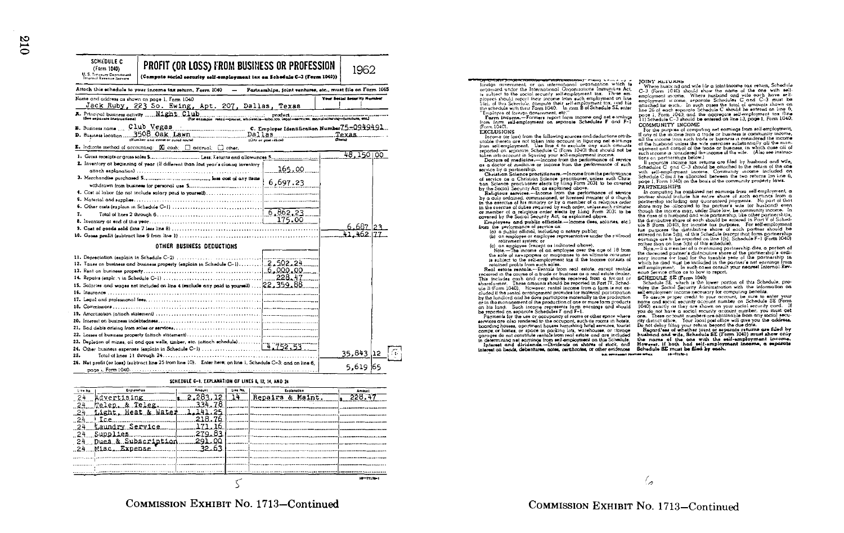| SCHEDULE C<br>(Form 1040)<br>U. S. Treasury Department<br>Thiernal Revenue Service | PROFIT (OR LOSS) FROM BUSINESS OR PROFESSION<br>(Compute social security self-employment tax on Schedule C-3 (Form 1040)) |                                                            |                          | 1962                       |  |
|------------------------------------------------------------------------------------|---------------------------------------------------------------------------------------------------------------------------|------------------------------------------------------------|--------------------------|----------------------------|--|
|                                                                                    | Attach this schedule to your income tax return. Form 1040                                                                 | Partnerships, joint ventures, etc., must file on Form 1065 |                          |                            |  |
|                                                                                    | Name and address as shown on page 1. Form 1040                                                                            |                                                            |                          | Your Secial Society Number |  |
|                                                                                    | Jack Ruby, 223 So. Ewing, Apt. 207, Dallas, Texas                                                                         |                                                            |                          |                            |  |
|                                                                                    |                                                                                                                           |                                                            |                          |                            |  |
| B. Business name  Club Vegas                                                       |                                                                                                                           |                                                            |                          |                            |  |
|                                                                                    | D. Business location 3508. Oak Lawn                                                                                       |                                                            |                          | Texas                      |  |
|                                                                                    |                                                                                                                           |                                                            | $\overline{\text{Coul}}$ |                            |  |
|                                                                                    | $\Sigma$ . Indicate method of accounting: $\widetilde{X}$ cash; $\square$ accrual; $\square$ other.                       |                                                            |                          |                            |  |
|                                                                                    |                                                                                                                           |                                                            |                          | 48.150 00                  |  |
|                                                                                    | 2. Inventory at beginning of year (if different than lost year's closing inventory                                        |                                                            |                          |                            |  |
|                                                                                    |                                                                                                                           | 165.00                                                     |                          |                            |  |
|                                                                                    |                                                                                                                           |                                                            |                          |                            |  |
|                                                                                    |                                                                                                                           | 6,697.23                                                   |                          |                            |  |
|                                                                                    |                                                                                                                           |                                                            |                          |                            |  |
|                                                                                    |                                                                                                                           |                                                            |                          |                            |  |
|                                                                                    |                                                                                                                           |                                                            |                          |                            |  |
|                                                                                    |                                                                                                                           |                                                            |                          |                            |  |
|                                                                                    |                                                                                                                           |                                                            |                          |                            |  |
|                                                                                    |                                                                                                                           |                                                            |                          | 6.687                      |  |
|                                                                                    |                                                                                                                           |                                                            |                          |                            |  |
|                                                                                    | OTHER BUSINESS DEDUCTIONS                                                                                                 |                                                            |                          |                            |  |
|                                                                                    |                                                                                                                           |                                                            |                          |                            |  |
|                                                                                    |                                                                                                                           |                                                            |                          |                            |  |
|                                                                                    |                                                                                                                           |                                                            |                          |                            |  |
|                                                                                    |                                                                                                                           |                                                            |                          |                            |  |
|                                                                                    | 15. Salaries and wages not included on line 4 (exclude any paid to yourself)  22,359.88                                   |                                                            |                          |                            |  |
|                                                                                    |                                                                                                                           |                                                            |                          |                            |  |
|                                                                                    |                                                                                                                           |                                                            |                          |                            |  |
|                                                                                    |                                                                                                                           |                                                            |                          |                            |  |
|                                                                                    |                                                                                                                           |                                                            |                          |                            |  |
|                                                                                    |                                                                                                                           |                                                            |                          |                            |  |
|                                                                                    |                                                                                                                           |                                                            |                          |                            |  |
|                                                                                    |                                                                                                                           |                                                            |                          |                            |  |
|                                                                                    |                                                                                                                           |                                                            |                          |                            |  |
|                                                                                    |                                                                                                                           |                                                            |                          | 35,843 12                  |  |
| 25.                                                                                |                                                                                                                           |                                                            |                          |                            |  |
|                                                                                    | 26. Nat profit (or loss) (subtract line 25 from line 10). Enter here; on line 1, Schedule C-3; and on line 6.             |                                                            |                          | 5.619 65                   |  |
|                                                                                    |                                                                                                                           |                                                            |                          |                            |  |



| Line No. | Esplenation         | Amount     | Line No. | Explanation      | <b>Amount</b>    |
|----------|---------------------|------------|----------|------------------|------------------|
| 24       | dvertising          |            |          | Repairs & Maint. |                  |
| 24       | & Teleg<br>Melen.   |            |          |                  |                  |
|          | Light, Heat & Water | っち         |          |                  |                  |
| -24      | Lc.e.               | 21.B<br>76 |          |                  |                  |
| -24      | Laundry Service     |            |          |                  |                  |
| 24       | Supplies            | ۵e<br>279  |          |                  |                  |
| -24      | Dues & Subscription | n.<br>20   |          |                  |                  |
| .24      | Misc. Expense       | つつ         |          |                  |                  |
|          |                     |            |          |                  |                  |
|          |                     |            |          |                  |                  |
|          |                     |            |          |                  |                  |
|          |                     |            |          |                  | $10 - 77120 - 1$ |
|          |                     |            |          |                  |                  |

**The Contract Expression of the Contract Contract Contract Contract Contract Contract Contract Contract Contract**<br>The dign covernment, or can international organization which is a det,<br>Torganized under the International Or is subject to the social security self-employment lax. These em-<br>ployees should report their income from such employment on line players about note it increases the relation of the specific specific specific specific specific specific specific specific specific specific specific specific specific specific specific specific specific specific specific

**EXCLUSIONS** 

Exponential the following sources end definitions of the interference units interference of the line of the line of the count in fluering reference units interference of the line of the line of the counter of the line of

as a dector of medicine or income from the performance of such service by a partnership.

Christian Science practitioners.-Income from the performance

Christian Science precisions — Income form the performance of a Christian Science procedure and Science of the Christian Science of the Christian Science of the Christian Science of the Christian Science of the Christian covered by the Social Security Act, as explained above.

Employees and public officials.-Income (lees, sciaries, etc.)

from the performance of service as:<br>(a) a public official, including a notary public;<br>(b) an employee or employee representative under the railroad

rotirement system: or

reutement system; or<br>(c) an employee (except as indicated above),<br>Note.—The income of an employee over the age of 18 from the sole of newspopers or magazines to an ultimate consumer is subject to the self-employment tax if the income consists of relationed problem and his column to the inclusive country of

cluded if the result arrangement provides for material participation<br>by the landlerd and he does participate materially in the production or in the management of the production of one or more farm products on his land. Such income represents form earnings and should

Payments for the use or occupancy of rooms or other space where<br>the accuracy of comparison and the services are also rendered to the occupant, such as rooms in hotels,<br>boarding houses, opertured to the occupant houses temp camps or homes, or space in parking lots, warehouses, or storage campet do not constitute rentals from real estate and are included<br>in determining net examinate form self-employment on this Schedule. International continuation is the state of state and<br>alternational constitution of the **B.S. OFFICERSITY PRINTING OFFICE** 

#### **JOINT RETURNS**

JOINT ACTUATION of side file a joint income tax return, Schedule<br>
C-3 (form 1000) should shaw the name of the one with estimated on<br>
complement in the state of the one with estimated the complement<br>
employment in terms in COMMUNITY INCOME

For the purpose of computing net cornings from self-employment, Los aluny of the income from a frede or business is community income,<br>If ony of the income from a frede or business is community income,<br>all the income from such trode or business is considered the income et the husband unless the wife orderings substantially all the man-<br>agement and control of the trade or business, in which case all of such income is considered the income of the wife. (Also see instructions on partnerships below.)

If separate income tax returns are filed by husband and wile, is separate reading the catalog of the relationship in the one with selling of the catalog of the relation of the catalog of the relation of the catalog of the Schedule C multiperment income included on the schedule C mult page 1, Form 1/30) on the bosis of the community property laws. **PARTNERSHIPS** 

In computing his combined net earnings from self-employment, a partner should include his entire share of such earnings from a partnership includes his any quaranteed payments. No part of that phase may be allocated to the partner's wile (or husband) even though the income. In the face of the partners are the case of a husband and wile partnership, like other partnerships, The case of a nucleon<br>d one will perform the side of the contractions of the dimensions of the<br>dimension of the contraction of the contract of the contraction of<br>the dimension of the contract of the contract of the contra

Former man on the Store and Store and Store and Store and Store and Store and Store and Store and Store and Store and Store and Store and Store and Store and Store and Store and Store and Store and Store and Store and Stor

SCHEDULE SE (Form 1040)<br>Schedule SE, which is the lower portion of this Schedule, pro-<br>vides the Social Security Administration with the information on self-emoloyment income necessary for computing benefits.

To date proper credit to your account, be sure to enter your<br>nome and social socialists and social set of Schedule SE (form in the proper social set of Schedule SE (form)<br>1040) exactly as they are shown on your social secu you do not have a social searchy account number, you must get<br>one. These account numbers are obtained by the same. These account number, you must get<br>rity district office. Your local post obtained will give you the acciden

In not delay filing your roturn beyond the due dote.<br>Do not delay filing your roturn beyond the due dote.<br>Regard'ess of whether joint or separate returns are filed by<br>husband and wife, Schedule SE (Form 1040) must show onl in determining net continue from self-employment on this Schedule. The name of the one with the self-employment income.<br>Interest and dividends on show on the self-employment income.<br>Interest on bendal debeniums, one contin  $10 - 1110 - 1$ 

COMMISSION EXHIBIT No. 1713-Continued

℅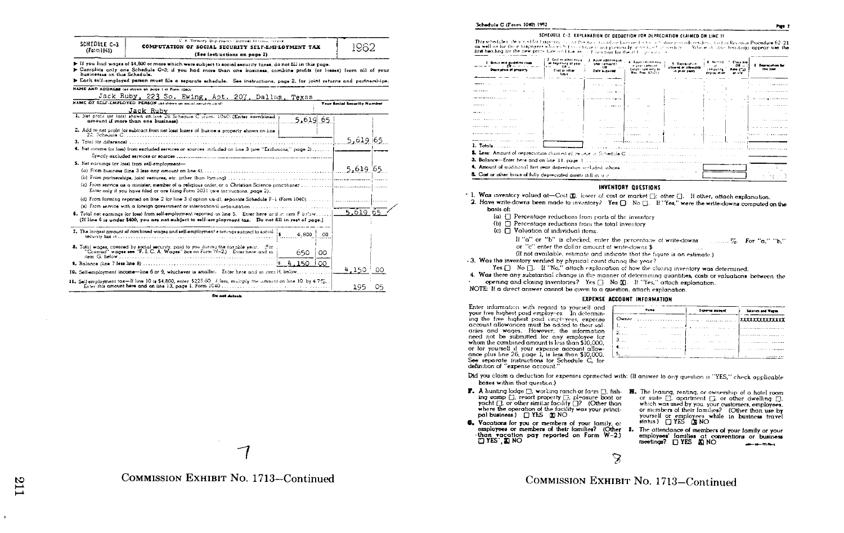| SCHEDULE C-3<br>(Form 1040)                          | U. S. Treasury Depertusert - Internal Revenue recover<br>COMPUTATION OF SOCIAL SECURITY SELF-EMPLOYMENT TAX<br>(See instructions on page 2)                                                                                                                                                                                                                   |             | 1962                               |    |
|------------------------------------------------------|---------------------------------------------------------------------------------------------------------------------------------------------------------------------------------------------------------------------------------------------------------------------------------------------------------------------------------------------------------------|-------------|------------------------------------|----|
| businesses on this Schedule.                         | Figure 14 Figure 15 The University of the Universe Subject to accide security taxes, do not fill in this page.<br>> Complete only one Schedule C-3; if you had more than one business, combine profits (or losses) from all of your<br>Each self-employed person must file a separate schedule. See instructions, page 2, for joint returns and partnerships. |             |                                    |    |
| NAME AND ADDRESS (or shown on pinge I of Form 1040). |                                                                                                                                                                                                                                                                                                                                                               |             |                                    |    |
|                                                      | Jack Ruby, 223 So. Ewing, Apt. 207, Dallas, Texas                                                                                                                                                                                                                                                                                                             |             |                                    |    |
|                                                      | NAME OF SELF-EMPLOYED PERSON 103 shown on social security card!                                                                                                                                                                                                                                                                                               |             | <b>Your Secial Security Number</b> |    |
|                                                      | Jack Ruby<br>1. Not profit (or loss) shown on line 26 Schedule C (form. 1040) (Enter combined                                                                                                                                                                                                                                                                 | 5.619 65    |                                    |    |
|                                                      | 2. Add to net profit for subtract from net loss) losses of busine is property shown on line                                                                                                                                                                                                                                                                   |             | 5,619 65                           |    |
|                                                      | 4. Net income (or loss) from excluded services or sources included on line 3 (see "Exclusions," page 2)                                                                                                                                                                                                                                                       |             |                                    |    |
| 5. Net cornings (or loss) from self-employment-      |                                                                                                                                                                                                                                                                                                                                                               |             | 5,619 65                           |    |
|                                                      | Enter only if you have filed or are filing Form 2031 (see instructions, page 2).                                                                                                                                                                                                                                                                              |             |                                    |    |
|                                                      |                                                                                                                                                                                                                                                                                                                                                               |             |                                    |    |
|                                                      | 6. Total net earnings for loss) from solt-employment reported on line 5. Enter here and in item Fibriow<br>(If line 6 is under \$400, you are not subject to self-employment tax. Do not fill in rest of page.)                                                                                                                                               |             | 5.619 65                           |    |
|                                                      | 7. The largest amount of combined wages and self-employment earnings subject to social $\frac{1}{6}$                                                                                                                                                                                                                                                          | 4.800<br>00 |                                    |    |
|                                                      | 8. Total wages, covered by social security, paid to you during the taxable year. (For<br>"Covered" wages see "F. J. C. A. Wages" box on Form 19-2.) Enter here and in                                                                                                                                                                                         | 650<br>OO   |                                    |    |
|                                                      |                                                                                                                                                                                                                                                                                                                                                               | 150<br>OO.  |                                    |    |
|                                                      | 10. Self-employment income-line 6 or 9, whichever is smaller. Enter here and in item H, below                                                                                                                                                                                                                                                                 |             | 4.150                              | 00 |
|                                                      | 11. Self-employment tax-If line 10 is \$4,800, enter \$225.60; I less, multiply the amount on line 10 by 4.7%.                                                                                                                                                                                                                                                |             | 195                                | 05 |

De not detect

COMMISSION EXHIBIT No. 1713–Continued

#### 3chedule C (Form 1040) 1992

#### SCHEODLE C-2. EXPLANATION OF DEDUCTION FOR DEPRECIATION CLAIMED ON LINE 11

This schedule independent for targeness in and the new advertisement of the contribution of the schedule forcedure 62-21<br>on well or for the chargeness who est in contract made preconcilement to contract the best able bendi

| 1 Group and modeling class<br>$  -$                                                                                                                                                                                                 | 2. East or other cars.<br>at beginning of your<br>0.5 | <b>Based additions in</b><br>where compared to<br>- 98<br>$\cdots$ | 4. Association model<br>in and company          | <b>Contentine</b><br>allowed or allowable | A. Mathew<br>7. Eleve Ma<br>$\cdots$ 00 $-$<br>$\mathbf{H}$ | <b>Dearers due to</b> |
|-------------------------------------------------------------------------------------------------------------------------------------------------------------------------------------------------------------------------------------|-------------------------------------------------------|--------------------------------------------------------------------|-------------------------------------------------|-------------------------------------------|-------------------------------------------------------------|-----------------------|
| Description of accessive                                                                                                                                                                                                            | Cost or other<br>base                                 | Dety economic                                                      | <b>Canoly talk only in</b><br>Rev. Proc. 62-215 | in middlessen.                            | Pate (C)<br><b>COMPANY OF</b><br>dere accelera<br>          | the year.             |
|                                                                                                                                                                                                                                     |                                                       |                                                                    |                                                 |                                           |                                                             |                       |
|                                                                                                                                                                                                                                     | $\sim$ $\sim$                                         | .<br>$\sim$ 100 $\pm$ 100 $\pm$                                    |                                                 |                                           |                                                             |                       |
| <br><b></b>                                                                                                                                                                                                                         |                                                       | <b>STATE AND STATE</b>                                             | ll a su                                         |                                           | <b>COL</b>                                                  |                       |
|                                                                                                                                                                                                                                     |                                                       |                                                                    |                                                 | 1.1.1.1                                   |                                                             |                       |
| --------                                                                                                                                                                                                                            | <b>A</b>                                              | a company for                                                      | $\sim$                                          |                                           |                                                             |                       |
|                                                                                                                                                                                                                                     | $\sim$ $\sim$                                         |                                                                    |                                                 |                                           |                                                             | 14.4                  |
|                                                                                                                                                                                                                                     | $\sim$                                                | 1.111                                                              |                                                 | $\sim$                                    |                                                             | contract the company  |
| *********                                                                                                                                                                                                                           | <b>Contract</b>                                       | .                                                                  |                                                 |                                           |                                                             |                       |
| .<br>                                                                                                                                                                                                                               |                                                       |                                                                    | .                                               |                                           | and a state of the                                          |                       |
| 1. Totals                                                                                                                                                                                                                           |                                                       |                                                                    |                                                 |                                           |                                                             |                       |
|                                                                                                                                                                                                                                     |                                                       |                                                                    |                                                 |                                           |                                                             |                       |
|                                                                                                                                                                                                                                     |                                                       |                                                                    |                                                 |                                           |                                                             |                       |
|                                                                                                                                                                                                                                     |                                                       |                                                                    |                                                 |                                           |                                                             |                       |
| 4. Amount of additional first year depreciation included above                                                                                                                                                                      |                                                       |                                                                    |                                                 |                                           |                                                             |                       |
| <b>B.</b> Cost or other basis of fully depreciated assets still in a contract the contract of the contract of the contract of the contract of the contract of the contract of the contract of the contract of the contract of the c |                                                       |                                                                    |                                                 |                                           |                                                             |                       |

### **INVENTORY QUESTIONS**

- . 1. Was inventory valued at-Cost (E), lower of cost or market (.); other (.). If other, attach explanation.
- 2. Have write-downs been made to inventory? Yes [] No [] If "Yes," were the write-downs computed on the basis of:
	- $(a)$   $\Box$  Percentage reductions from parts of the inventory
	- $(b)$   $\Box$  Percentage reductions from the total inventory
	- (c)  $\Box$  Valuation of individual items.
		- If "a" or "b" is checked, enter the percentage of write-downs .% For "a," "b,"
		- or "c" enter the dollar amount of write-downs \$
		- (If not available, estimate and indicate that the figure is an estimate )

- 3. Was the inventory verified by physical count during the year?

- Yes  $\Box$  No  $\Box$ . If "No," attach explanation of how the closing inventory was determined.
- 4. Was there any substantial change in the manner of determining quantities, costs or valuations between the opening and closing inventories? Yes □ No XI. If "Yes," attach explanation.
- NOTE: If a direct answer cannot be given to a question, attach explanation

#### **EXPENSE ACCOUNT INFORMATION**

Enter information with regard to yourself and your five highest paid employees. In determining the five highest poid employees, expense account allowances must be added to their salaries and wages. However, the information need not be submitted for any employee for whom the combined amount is less than \$10,000. or for yourself if your expense account allowance plus line 26, page 1, is less than \$10,000 See separate instructions for Schedule C, for definition of "expense account."

| Nome                                                             |  |  |  |                                                                   |  |  | <b>Experte accepti</b> |  |  |  |  | Salaryes and Wagon |  |  |  |  |  |  |  |  |  |  |  |  |  |  |  |
|------------------------------------------------------------------|--|--|--|-------------------------------------------------------------------|--|--|------------------------|--|--|--|--|--------------------|--|--|--|--|--|--|--|--|--|--|--|--|--|--|--|
|                                                                  |  |  |  |                                                                   |  |  |                        |  |  |  |  |                    |  |  |  |  |  |  |  |  |  |  |  |  |  |  |  |
| [ King Street Street (manual performance and professional manual |  |  |  |                                                                   |  |  |                        |  |  |  |  |                    |  |  |  |  |  |  |  |  |  |  |  |  |  |  |  |
|                                                                  |  |  |  | the common line of the common control of the common common common |  |  |                        |  |  |  |  |                    |  |  |  |  |  |  |  |  |  |  |  |  |  |  |  |
| ستست سيستنديها والمراسم والمتحدث والمراس والمتحدث والمنافرة      |  |  |  |                                                                   |  |  |                        |  |  |  |  |                    |  |  |  |  |  |  |  |  |  |  |  |  |  |  |  |
| Access the company product in annually                           |  |  |  |                                                                   |  |  |                        |  |  |  |  |                    |  |  |  |  |  |  |  |  |  |  |  |  |  |  |  |
| . 5. <u>.</u>                                                    |  |  |  |                                                                   |  |  |                        |  |  |  |  |                    |  |  |  |  |  |  |  |  |  |  |  |  |  |  |  |

- Did you claim a deduction for expenses connected with: (If answer to any question is "YES," check applicable boxes within that question.)
- F. A hunting lodge  $\Box$ , working ranch or farm  $\Box$ , fish- H. The leasing, renting, or ownership of a hotel room ing camp  $\Box$ , resort property  $\Box$ , pleasure boat or yacht [], or other similar foculity []? (Other than where the operation of the facility was your principal business.) [] YES [X] NO
- 6. Vacations for you or members of your family, or employees or members of their families? (Other I. The attendance of members of your family or your than vacation pay reported on Form W-2.)
- or suite  $\Box$ , apartment  $\Box$ , or other dwelling  $\Box$ . which was used by you, your customers, employees. or members of their families? (Other than use by yourself or employees while in business travel
	- employees' families at conventions or business<br>meetings?  $\Box$  YES  $\boxtimes$  NO

 $\mathcal{S}$ 

# COMMISSION EXHIBIT No. 1713-Continued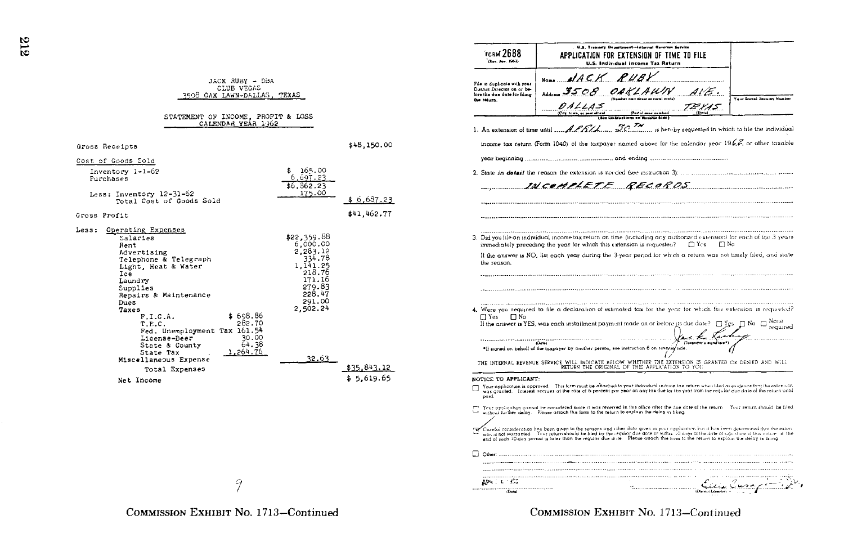| CLUB VEGAS<br>3508 OAK LAWN-DALLAS, TEXAS                                                                                                                                                                                                                          |                                                                                                                         |                           |
|--------------------------------------------------------------------------------------------------------------------------------------------------------------------------------------------------------------------------------------------------------------------|-------------------------------------------------------------------------------------------------------------------------|---------------------------|
| STATEMENT OF INCOME, PROFIT & LOSS<br>CALENDAR YEAR 1962                                                                                                                                                                                                           |                                                                                                                         |                           |
| Gross Receipts                                                                                                                                                                                                                                                     |                                                                                                                         | \$48,150.00               |
| Cost of Goods Sold                                                                                                                                                                                                                                                 |                                                                                                                         |                           |
| Inventory 1-1-62<br>Purchases<br>Less: Inventory 12-31-62                                                                                                                                                                                                          | 165.00<br>\$.<br>6,697,23<br>\$6,362.23<br>175.00                                                                       |                           |
| Total Cost of Goods Sold                                                                                                                                                                                                                                           |                                                                                                                         | \$6,687.23                |
| Gross Profit                                                                                                                                                                                                                                                       |                                                                                                                         | \$41,462.77               |
| Less:<br>Operating Expenses<br>Salaries<br>Rent<br>Advertising<br>Telephone & Telegraph<br>Light, Heat & Water<br>Ice<br>Laundry<br>Supplies<br>Repairs & Maintenance<br>Dues<br>Taxes<br>\$698.86<br>F.I.C.A.<br>282.70<br>T.E.C.<br>Fed. Unemployment Tax 161.54 | \$22,359.88<br>6,000.00<br>2,283.12<br>334.78<br>1,141.25<br>218.76<br>171.16<br>279.83<br>228.47<br>291.00<br>2.502.24 |                           |
| 30.00<br>License-Beer<br>64.38<br>State & County<br>1,264.76<br>State Tax<br>Miscellaneous Expense<br>Total Expenses<br>Net Income                                                                                                                                 | 32.63                                                                                                                   | \$35,843.12<br>\$5,619.65 |

JACK RUBY - DBA

U.S. Treasury Department-Internal Revenue Service **ГСВМ 2688** APPLICATION FOR EXTENSION OF TIME TO FILE (Rev. Avv. 1962) U.S. Individual Income Tax Return  $d$ ACK RUBY File in duplicate with your Dutrict Director on or be-March 3508 OAKLAWN  $\mathcal{A} \mathcal{U} \in \Omega$ fore the due date for fular Your Socral Security Number the return.  $0.11115$ TE 1.45 (Postal sens sumber) 1. An extension of time until  $\mathcal{A}$  PRIA. 30 TH is hereby requested in which to file the individual income tax return (Form 1040) of the taxpayer named above for the calendar year  $196\%$  or other taxable INCOMPLETE RECORDS 3. Did you file an individual income tax return on time (including any authorized extension) for each of the 3 years immediately preceding the year for which this extension is requested?  $\Box$  Yes  $\Box$  No If the answer is NO, list each year during the 3-year period for which a return was not timely filed, and state the reason. 4. Were you required to file a declaration of estimated tax for the year for which this extension is requested? □ Yes □ No If the answer is YES, was each installment payment made on or before its due date?  $\Box$  Yes  $\Box$  No  $\Box$  required "If agened on beholf of the largrave by another person, see instruction 6 on reverse for conserver experiences  $1.1.1.1.1$ THE INTERNAL REVENCE SERVICE WILL INDICATE BELOW WHETHER THE EXTENSION IS GRANTED OR DENIED AND WILL<br>RETURN THE ORIGINAL OF THIS APPLICATION TO YOU NOTICE TO APPLICANT: Your application is approved. This form must be attached to your individual income tax return when filed as evidence that the extension was granted. Interest accrues at the rate of 6 percent per year on any tax due for the year from the regular due date of the return until paid. The Your application connot be considered since it was received in this office ofter the due date of the return. Your return should be filed without further delay. Please attach this form to the return to explain the delay in filing. Careful consideration has been aiven to the reasons and other data aiven in your opplication but it has feen determined that the exten such as the following the contract of the regular due state. Please attach this include the date of signiture of this matches if the<br>section and worranted. Your return should be liked by the regular due date or within 10 d  $\Box$  Other AP4 2 & 180 Sillian Curry

9

COMMISSION EXHIBIT No. 1713-Continued

 $\mathbf G$  $\mathbf{r}$